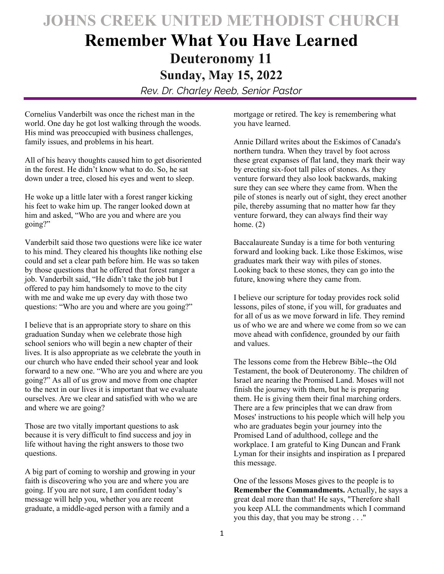## **JOHNS CREEK UNITED METHODIST CHURCH**

## **Remember What You Have Learned Deuteronomy 11 Sunday, May 15, 2022**

*Rev. Dr. Charley Reeb, Senior Pastor* 

Cornelius Vanderbilt was once the richest man in the world. One day he got lost walking through the woods. His mind was preoccupied with business challenges, family issues, and problems in his heart.

All of his heavy thoughts caused him to get disoriented in the forest. He didn't know what to do. So, he sat down under a tree, closed his eyes and went to sleep.

He woke up a little later with a forest ranger kicking his feet to wake him up. The ranger looked down at him and asked, "Who are you and where are you going?"

Vanderbilt said those two questions were like ice water to his mind. They cleared his thoughts like nothing else could and set a clear path before him. He was so taken by those questions that he offered that forest ranger a job. Vanderbilt said, "He didn't take the job but I offered to pay him handsomely to move to the city with me and wake me up every day with those two questions: "Who are you and where are you going?"

I believe that is an appropriate story to share on this graduation Sunday when we celebrate those high school seniors who will begin a new chapter of their lives. It is also appropriate as we celebrate the youth in our church who have ended their school year and look forward to a new one. "Who are you and where are you going?" As all of us grow and move from one chapter to the next in our lives it is important that we evaluate ourselves. Are we clear and satisfied with who we are and where we are going?

Those are two vitally important questions to ask because it is very difficult to find success and joy in life without having the right answers to those two questions.

A big part of coming to worship and growing in your faith is discovering who you are and where you are going. If you are not sure, I am confident today's message will help you, whether you are recent graduate, a middle-aged person with a family and a

mortgage or retired. The key is remembering what you have learned.

Annie Dillard writes about the Eskimos of Canada's northern tundra. When they travel by foot across these great expanses of flat land, they mark their way by erecting six-foot tall piles of stones. As they venture forward they also look backwards, making sure they can see where they came from. When the pile of stones is nearly out of sight, they erect another pile, thereby assuming that no matter how far they venture forward, they can always find their way home. (2)

Baccalaureate Sunday is a time for both venturing forward and looking back. Like those Eskimos, wise graduates mark their way with piles of stones. Looking back to these stones, they can go into the future, knowing where they came from.

I believe our scripture for today provides rock solid lessons, piles of stone, if you will, for graduates and for all of us as we move forward in life. They remind us of who we are and where we come from so we can move ahead with confidence, grounded by our faith and values.

The lessons come from the Hebrew Bible--the Old Testament, the book of Deuteronomy. The children of Israel are nearing the Promised Land. Moses will not finish the journey with them, but he is preparing them. He is giving them their final marching orders. There are a few principles that we can draw from Moses' instructions to his people which will help you who are graduates begin your journey into the Promised Land of adulthood, college and the workplace. I am grateful to King Duncan and Frank Lyman for their insights and inspiration as I prepared this message.

One of the lessons Moses gives to the people is to **Remember the Commandments.** Actually, he says a great deal more than that! He says, "Therefore shall you keep ALL the commandments which I command you this day, that you may be strong . . ."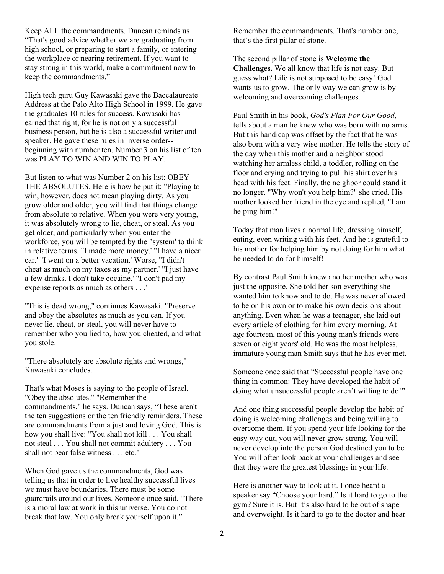Keep ALL the commandments. Duncan reminds us "That's good advice whether we are graduating from high school, or preparing to start a family, or entering the workplace or nearing retirement. If you want to stay strong in this world, make a commitment now to keep the commandments."

High tech guru Guy Kawasaki gave the Baccalaureate Address at the Palo Alto High School in 1999. He gave the graduates 10 rules for success. Kawasaki has earned that right, for he is not only a successful business person, but he is also a successful writer and speaker. He gave these rules in inverse order- beginning with number ten. Number 3 on his list of ten was PLAY TO WIN AND WIN TO PLAY.

But listen to what was Number 2 on his list: OBEY THE ABSOLUTES. Here is how he put it: "Playing to win, however, does not mean playing dirty. As you grow older and older, you will find that things change from absolute to relative. When you were very young, it was absolutely wrong to lie, cheat, or steal. As you get older, and particularly when you enter the workforce, you will be tempted by the "system' to think in relative terms. "I made more money.' "I have a nicer car.' "I went on a better vacation.' Worse, "I didn't cheat as much on my taxes as my partner.' "I just have a few drinks. I don't take cocaine.' "I don't pad my expense reports as much as others . . .'

"This is dead wrong," continues Kawasaki. "Preserve and obey the absolutes as much as you can. If you never lie, cheat, or steal, you will never have to remember who you lied to, how you cheated, and what you stole.

"There absolutely are absolute rights and wrongs," Kawasaki concludes.

That's what Moses is saying to the people of Israel. "Obey the absolutes." "Remember the commandments," he says. Duncan says, "These aren't the ten suggestions or the ten friendly reminders. These are commandments from a just and loving God. This is how you shall live: "You shall not kill . . . You shall not steal . . . You shall not commit adultery . . . You shall not bear false witness . . . etc."

When God gave us the commandments, God was telling us that in order to live healthy successful lives we must have boundaries. There must be some guardrails around our lives. Someone once said, "There is a moral law at work in this universe. You do not break that law. You only break yourself upon it."

Remember the commandments. That's number one, that's the first pillar of stone.

The second pillar of stone is **Welcome the Challenges.** We all know that life is not easy. But guess what? Life is not supposed to be easy! God wants us to grow. The only way we can grow is by welcoming and overcoming challenges.

Paul Smith in his book, *God's Plan For Our Good*, tells about a man he knew who was born with no arms. But this handicap was offset by the fact that he was also born with a very wise mother. He tells the story of the day when this mother and a neighbor stood watching her armless child, a toddler, rolling on the floor and crying and trying to pull his shirt over his head with his feet. Finally, the neighbor could stand it no longer. "Why won't you help him?" she cried. His mother looked her friend in the eye and replied, "I am helping him!"

Today that man lives a normal life, dressing himself, eating, even writing with his feet. And he is grateful to his mother for helping him by not doing for him what he needed to do for himself!

By contrast Paul Smith knew another mother who was just the opposite. She told her son everything she wanted him to know and to do. He was never allowed to be on his own or to make his own decisions about anything. Even when he was a teenager, she laid out every article of clothing for him every morning. At age fourteen, most of this young man's friends were seven or eight years' old. He was the most helpless, immature young man Smith says that he has ever met.

Someone once said that "Successful people have one thing in common: They have developed the habit of doing what unsuccessful people aren't willing to do!"

And one thing successful people develop the habit of doing is welcoming challenges and being willing to overcome them. If you spend your life looking for the easy way out, you will never grow strong. You will never develop into the person God destined you to be. You will often look back at your challenges and see that they were the greatest blessings in your life.

Here is another way to look at it. I once heard a speaker say "Choose your hard." Is it hard to go to the gym? Sure it is. But it's also hard to be out of shape and overweight. Is it hard to go to the doctor and hear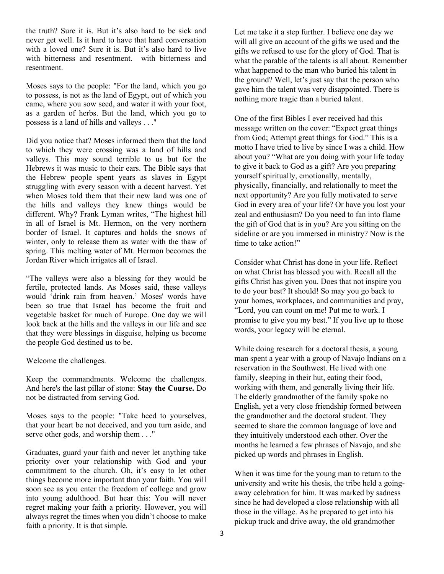the truth? Sure it is. But it's also hard to be sick and never get well. Is it hard to have that hard conversation with a loved one? Sure it is. But it's also hard to live with bitterness and resentment. with bitterness and resentment.

Moses says to the people: "For the land, which you go to possess, is not as the land of Egypt, out of which you came, where you sow seed, and water it with your foot, as a garden of herbs. But the land, which you go to possess is a land of hills and valleys . . ."

Did you notice that? Moses informed them that the land to which they were crossing was a land of hills and valleys. This may sound terrible to us but for the Hebrews it was music to their ears. The Bible says that the Hebrew people spent years as slaves in Egypt struggling with every season with a decent harvest. Yet when Moses told them that their new land was one of the hills and valleys they knew things would be different. Why? Frank Lyman writes, "The highest hill in all of Israel is Mt. Hermon, on the very northern border of Israel. It captures and holds the snows of winter, only to release them as water with the thaw of spring. This melting water of Mt. Hermon becomes the Jordan River which irrigates all of Israel.

"The valleys were also a blessing for they would be fertile, protected lands. As Moses said, these valleys would 'drink rain from heaven.' Moses' words have been so true that Israel has become the fruit and vegetable basket for much of Europe. One day we will look back at the hills and the valleys in our life and see that they were blessings in disguise, helping us become the people God destined us to be.

Welcome the challenges.

Keep the commandments. Welcome the challenges. And here's the last pillar of stone: **Stay the Course.** Do not be distracted from serving God.

Moses says to the people: "Take heed to yourselves, that your heart be not deceived, and you turn aside, and serve other gods, and worship them . . ."

Graduates, guard your faith and never let anything take priority over your relationship with God and your commitment to the church. Oh, it's easy to let other things become more important than your faith. You will soon see as you enter the freedom of college and grow into young adulthood. But hear this: You will never regret making your faith a priority. However, you will always regret the times when you didn't choose to make faith a priority. It is that simple.

Let me take it a step further. I believe one day we will all give an account of the gifts we used and the gifts we refused to use for the glory of God. That is what the parable of the talents is all about. Remember what happened to the man who buried his talent in the ground? Well, let's just say that the person who gave him the talent was very disappointed. There is nothing more tragic than a buried talent.

One of the first Bibles I ever received had this message written on the cover: "Expect great things from God; Attempt great things for God." This is a motto I have tried to live by since I was a child. How about you? "What are you doing with your life today to give it back to God as a gift? Are you preparing yourself spiritually, emotionally, mentally, physically, financially, and relationally to meet the next opportunity? Are you fully motivated to serve God in every area of your life? Or have you lost your zeal and enthusiasm? Do you need to fan into flame the gift of God that is in you? Are you sitting on the sideline or are you immersed in ministry? Now is the time to take action!"

Consider what Christ has done in your life. Reflect on what Christ has blessed you with. Recall all the gifts Christ has given you. Does that not inspire you to do your best? It should! So may you go back to your homes, workplaces, and communities and pray, "Lord, you can count on me! Put me to work. I promise to give you my best." If you live up to those words, your legacy will be eternal.

While doing research for a doctoral thesis, a young man spent a year with a group of Navajo Indians on a reservation in the Southwest. He lived with one family, sleeping in their hut, eating their food, working with them, and generally living their life. The elderly grandmother of the family spoke no English, yet a very close friendship formed between the grandmother and the doctoral student. They seemed to share the common language of love and they intuitively understood each other. Over the months he learned a few phrases of Navajo, and she picked up words and phrases in English.

When it was time for the young man to return to the university and write his thesis, the tribe held a goingaway celebration for him. It was marked by sadness since he had developed a close relationship with all those in the village. As he prepared to get into his pickup truck and drive away, the old grandmother